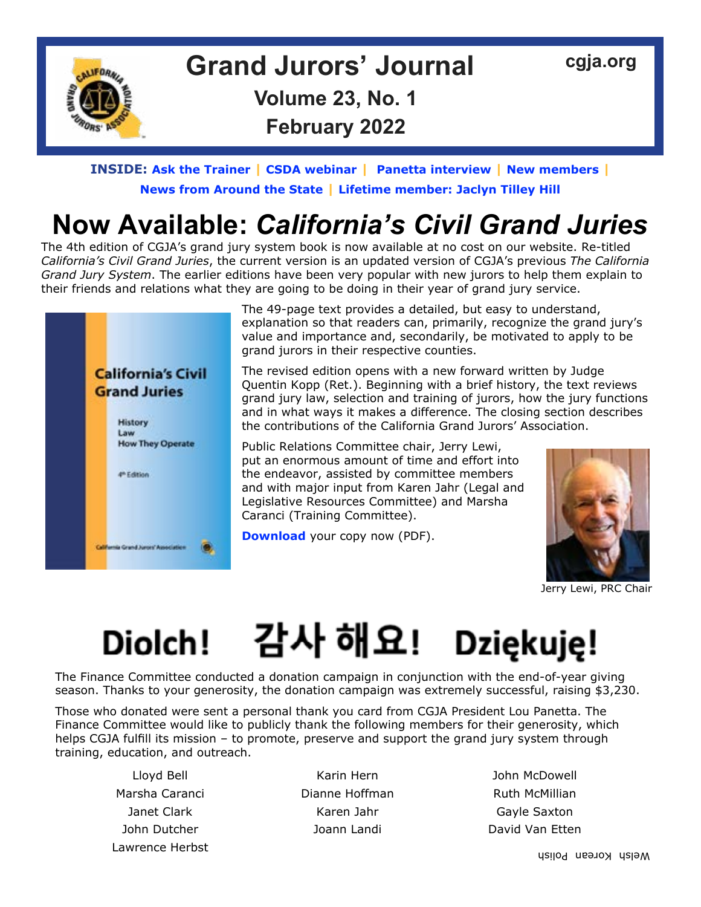

## **Grand Jurors' Journal [cgja.org](http://cgja.org) Volume 23, No. 1 February 2022**

#### **INSIDE: [Ask the Trainer](#page-1-0) | [CSDA webinar](#page-2-0) | [Panetta interview](#page-3-0) | [New members](#page-3-0) | [News from Around the State](#page-4-0) | [Lifetime member: Jaclyn Tilley Hill](#page-7-0)**

# **Now Available:** *California's Civil Grand Juries*

The 4th edition of CGJA's grand jury system book is now available at no cost on our website. Re-titled *California's Civil Grand Juries*, the current version is an updated version of CGJA's previous *The California Grand Jury System*. The earlier editions have been very popular with new jurors to help them explain to their friends and relations what they are going to be doing in their year of grand jury service.



The 49-page text provides a detailed, but easy to understand, explanation so that readers can, primarily, recognize the grand jury's value and importance and, secondarily, be motivated to apply to be grand jurors in their respective counties.

The revised edition opens with a new forward written by Judge Quentin Kopp (Ret.). Beginning with a brief history, the text reviews grand jury law, selection and training of jurors, how the jury functions and in what ways it makes a difference. The closing section describes the contributions of the California Grand Jurors' Association.

Public Relations Committee chair, Jerry Lewi, put an enormous amount of time and effort into the endeavor, assisted by committee members and with major input from Karen Jahr (Legal and Legislative Resources Committee) and Marsha Caranci (Training Committee).

**[Download](https://www.cgja.org/sites/default/files/californias_civil_grand_juries_edition4.pdf)** your copy now (PDF).



Jerry Lewi, PRC Chair

## 감사 해요! Dziękuję! **Diolch!**

The Finance Committee conducted a donation campaign in conjunction with the end-of-year giving season. Thanks to your generosity, the donation campaign was extremely successful, raising \$3,230.

Those who donated were sent a personal thank you card from CGJA President Lou Panetta. The Finance Committee would like to publicly thank the following members for their generosity, which helps CGJA fulfill its mission – to promote, preserve and support the grand jury system through training, education, and outreach.

Lawrence Herbst

Marsha Caranci **National Caracter Dianne Hoffman** Ruth McMillian Janet Clark **Karen Jahr** Karen Jahr Gayle Saxton John Dutcher **David Van Etten** Joann Landi **David Van Etten** 

Lloyd Bell Karin Hern John McDowell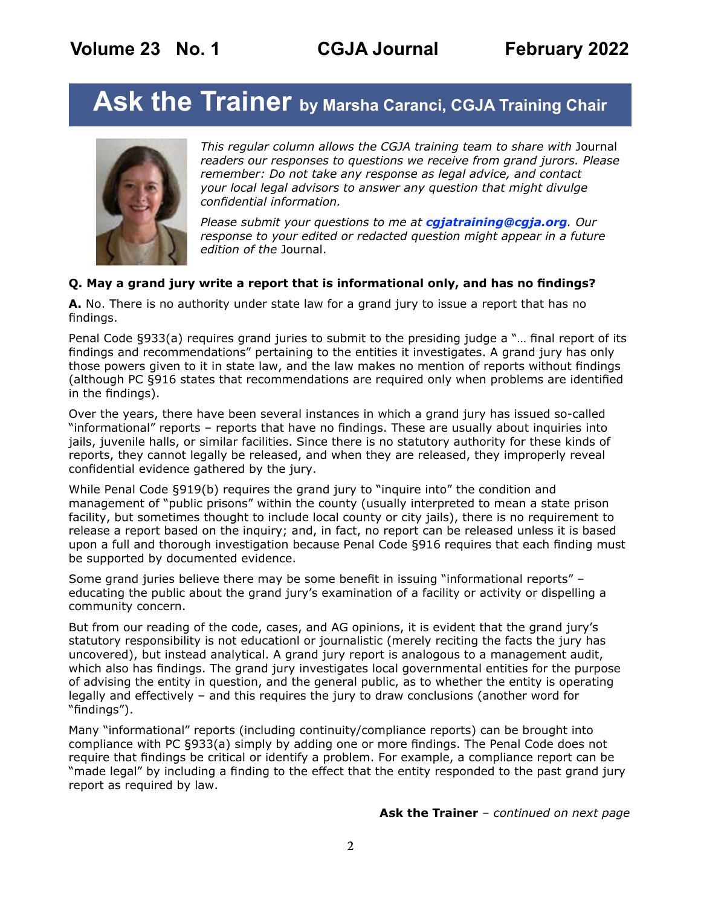# <span id="page-1-0"></span>**Ask the Trainer by Marsha Caranci, CGJA Training Chair**



*This regular column allows the CGJA training team to share with* Journal *readers our responses to questions we receive from grand jurors. Please remember: Do not take any response as legal advice, and contact your local legal advisors to answer any question that might divulge confidential information.* 

*Please submit your questions to me at [cgjatraining@cgja.org](mailto:cgjatraining%40cgja.org?subject=CGJA%20Training). Our response to your edited or redacted question might appear in a future edition of the* Journal.

#### **Q. May a grand jury write a report that is informational only, and has no findings?**

**A.** No. There is no authority under state law for a grand jury to issue a report that has no findings.

Penal Code §933(a) requires grand juries to submit to the presiding judge a "… final report of its findings and recommendations" pertaining to the entities it investigates. A grand jury has only those powers given to it in state law, and the law makes no mention of reports without findings (although PC §916 states that recommendations are required only when problems are identified in the findings).

Over the years, there have been several instances in which a grand jury has issued so-called "informational" reports – reports that have no findings. These are usually about inquiries into jails, juvenile halls, or similar facilities. Since there is no statutory authority for these kinds of reports, they cannot legally be released, and when they are released, they improperly reveal confidential evidence gathered by the jury.

While Penal Code §919(b) requires the grand jury to "inquire into" the condition and management of "public prisons" within the county (usually interpreted to mean a state prison facility, but sometimes thought to include local county or city jails), there is no requirement to release a report based on the inquiry; and, in fact, no report can be released unless it is based upon a full and thorough investigation because Penal Code §916 requires that each finding must be supported by documented evidence.

Some grand juries believe there may be some benefit in issuing "informational reports" – educating the public about the grand jury's examination of a facility or activity or dispelling a community concern.

But from our reading of the code, cases, and AG opinions, it is evident that the grand jury's statutory responsibility is not educationl or journalistic (merely reciting the facts the jury has uncovered), but instead analytical. A grand jury report is analogous to a management audit, which also has findings. The grand jury investigates local governmental entities for the purpose of advising the entity in question, and the general public, as to whether the entity is operating legally and effectively – and this requires the jury to draw conclusions (another word for "findings").

Many "informational" reports (including continuity/compliance reports) can be brought into compliance with PC §933(a) simply by adding one or more findings. The Penal Code does not require that findings be critical or identify a problem. For example, a compliance report can be "made legal" by including a finding to the effect that the entity responded to the past grand jury report as required by law.

**Ask the Trainer** *– continued on next page*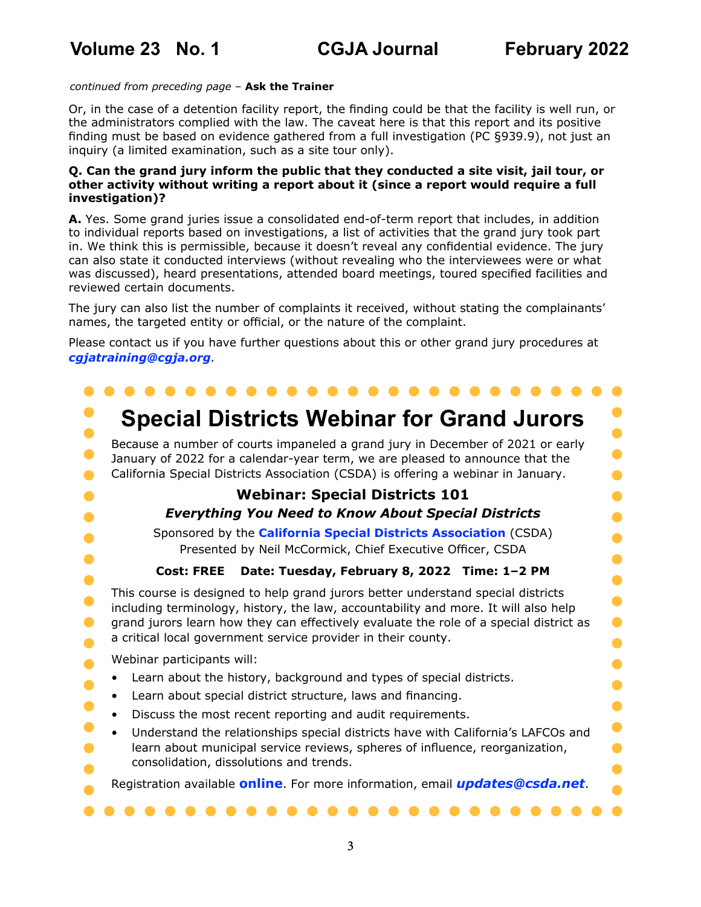#### <span id="page-2-0"></span>*continued from preceding page* – **Ask the Trainer**

Or, in the case of a detention facility report, the finding could be that the facility is well run, or the administrators complied with the law. The caveat here is that this report and its positive finding must be based on evidence gathered from a full investigation (PC §939.9), not just an inquiry (a limited examination, such as a site tour only).

#### **Q. Can the grand jury inform the public that they conducted a site visit, jail tour, or other activity without writing a report about it (since a report would require a full investigation)?**

**A.** Yes. Some grand juries issue a consolidated end-of-term report that includes, in addition to individual reports based on investigations, a list of activities that the grand jury took part in. We think this is permissible, because it doesn't reveal any confidential evidence. The jury can also state it conducted interviews (without revealing who the interviewees were or what was discussed), heard presentations, attended board meetings, toured specified facilities and reviewed certain documents.

The jury can also list the number of complaints it received, without stating the complainants' names, the targeted entity or official, or the nature of the complaint.

Please contact us if you have further questions about this or other grand jury procedures at *[cgjatraining@cgja.org](mailto:cgjatraining%40cgja.org?subject=CGJA%20training)*.

#### . . . . . . . . . . . . . . .  $\bullet$  $\bullet$  $\bullet$ **Special Districts Webinar for Grand Jurors**   $\bullet$ Because a number of courts impaneled a grand jury in December of 2021 or early  $\bullet$  $\bullet$ January of 2022 for a calendar-year term, we are pleased to announce that the California Special Districts Association (CSDA) is offering a webinar in January.  $\bullet$  $\bullet$ **Webinar: Special Districts 101**  $\bullet$  $\bullet$ *Everything You Need to Know About Special Districts*   $\bullet$  $\bullet$ Sponsored by the **[California Special Districts Association](https://www.csda.net/home)** (CSDA)  $\bullet$  $\bullet$ Presented by Neil McCormick, Chief Executive Officer, CSDA  $\bullet$  $\bullet$ **Cost: FREE Date: Tuesday, February 8, 2022 Time: 1–2 PM**  $\bullet$  $\bullet$ This course is designed to help grand jurors better understand special districts  $\bullet$  $\bullet$ including terminology, history, the law, accountability and more. It will also help  $\bullet$  $\bullet$ grand jurors learn how they can effectively evaluate the role of a special district as a critical local government service provider in their county.  $\bullet$  $\bullet$ Webinar participants will:  $\bullet$  $\bullet$ • Learn about the history, background and types of special districts.  $\bullet$  $\bullet$ • Learn about special district structure, laws and financing.  $\bullet$  $\bullet$ • Discuss the most recent reporting and audit requirements.  $\bullet$ • Understand the relationships special districts have with California's LAFCOs and learn about municipal service reviews, spheres of influence, reorganization,  $\bullet$  $\bullet$ consolidation, dissolutions and trends.  $\bullet$ O Registration available **[online](https://csdaforms.wufoo.com/forms/m1fxo1lo1v9avfm/)**. For more information, email *[updates@csda.net](mailto:updates%40csda.net?subject=CSDA%20Webinar)*.  $\bullet$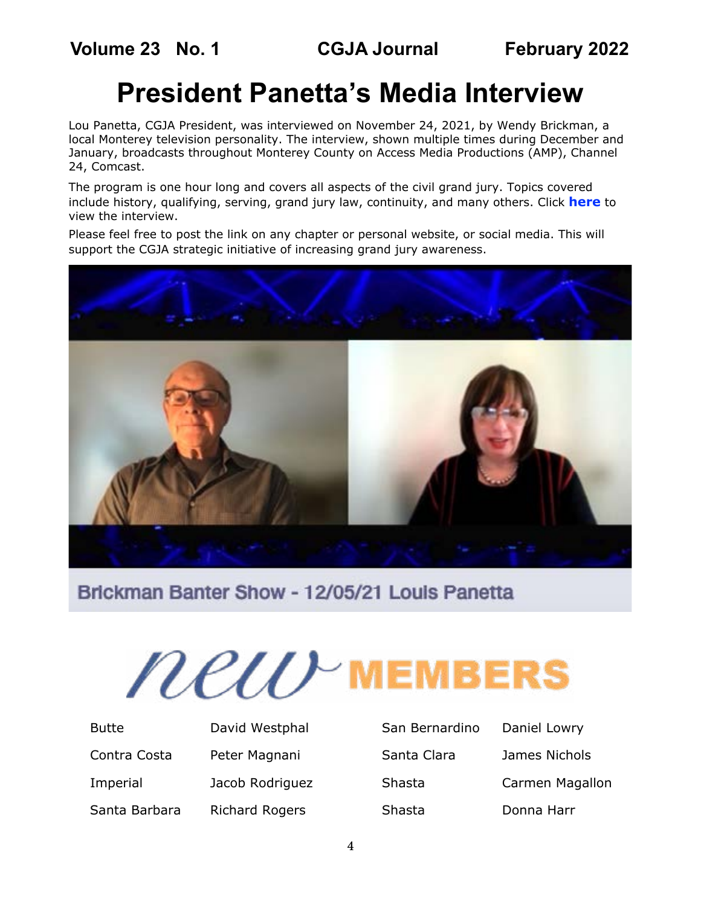# **President Panetta's Media Interview**

<span id="page-3-0"></span>Lou Panetta, CGJA President, was interviewed on November 24, 2021, by Wendy Brickman, a local Monterey television personality. The interview, shown multiple times during December and January, broadcasts throughout Monterey County on Access Media Productions (AMP), Channel 24, Comcast.

The program is one hour long and covers all aspects of the civil grand jury. Topics covered include history, qualifying, serving, grand jury law, continuity, and many others. Click **[here](https://mailtrack.io/trace/link/bd1d939677099b3e3948ee995d4573ea3ce4ae8c?w=bHBhbmV0dGFAeWFob28uY29t&url=https%3A%2F%2Fvideoplayer.telvue.com%2Fplayer%2FAWBnUCvvx6cKD1BrvIIZX31orwnnR9JL%2Fmedia%2F684859%3Ffullscreen%3Dfalse%26showtabssearch%3Dtrue%26autostart%3Dfalse&userId=3586536&signature=290ce7966b1c3e2d)** to view the interview.

Please feel free to post the link on any chapter or personal website, or social media. This will support the CGJA strategic initiative of increasing grand jury awareness.



Brickman Banter Show - 12/05/21 Louis Panetta



| <b>Butte</b>  | David Westphal        |
|---------------|-----------------------|
| Contra Costa  | Peter Magnani         |
| Imperial      | Jacob Rodriguez       |
| Santa Barbara | <b>Richard Rogers</b> |

| San Bernardino |  |
|----------------|--|
| Santa Clara    |  |
| Shasta         |  |
| Shasta         |  |

Daniel Lowry James Nichols Carmen Magallon Donna Harr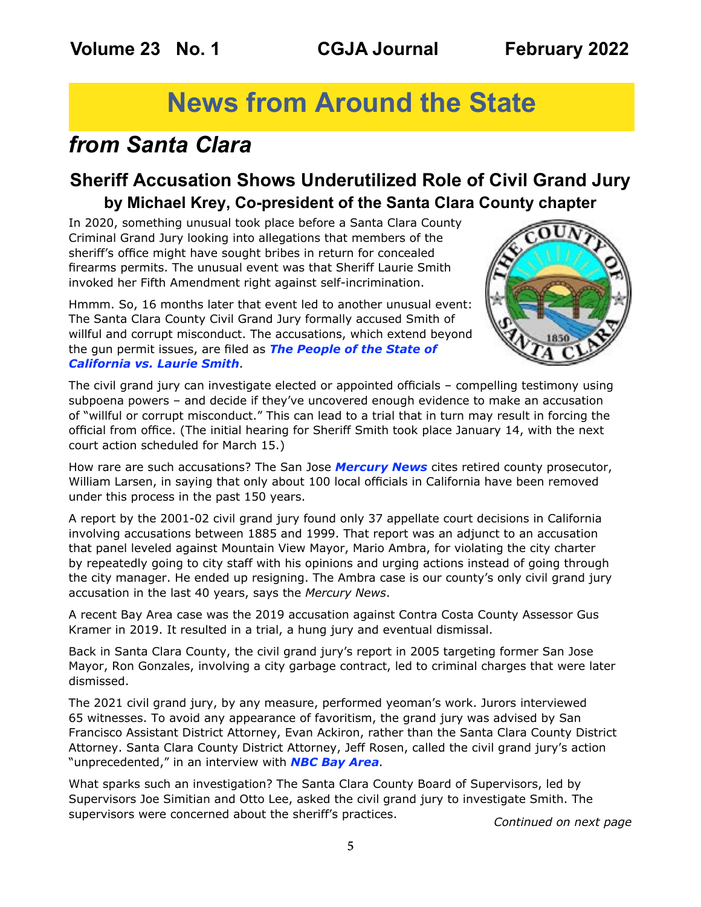# **News from Around the State**

## <span id="page-4-0"></span>*from Santa Clara*

### **Sheriff Accusation Shows Underutilized Role of Civil Grand Jury by Michael Krey, Co-president of the Santa Clara County chapter**

In 2020, something unusual took place before a Santa Clara County Criminal Grand Jury looking into allegations that members of the sheriff's office might have sought bribes in return for concealed firearms permits. The unusual event was that Sheriff Laurie Smith invoked her Fifth Amendment right against self-incrimination.

Hmmm. So, 16 months later that event led to another unusual event: The Santa Clara County Civil Grand Jury formally accused Smith of willful and corrupt misconduct. The accusations, which extend beyond the gun permit issues, are filed as *[The People of the State of](https://sanfrancisco.cbslocal.com/wp-content/uploads/sites/15116056/2021/12/Civil-Grand-Jury-Filed-Accusation-Re-Sheriff-Laurie-Smith.pdf)  [California vs. Laurie Smith](https://sanfrancisco.cbslocal.com/wp-content/uploads/sites/15116056/2021/12/Civil-Grand-Jury-Filed-Accusation-Re-Sheriff-Laurie-Smith.pdf)*.



The civil grand jury can investigate elected or appointed officials – compelling testimony using subpoena powers – and decide if they've uncovered enough evidence to make an accusation of "willful or corrupt misconduct." This can lead to a trial that in turn may result in forcing the official from office. (The initial hearing for Sheriff Smith took place January 14, with the next court action scheduled for March 15.)

How rare are such accusations? The San Jose *[Mercury News](https://www.mercurynews.com/2021/12/15/qa-corruptions-accusations-against-the-santa-clara-county-sheriff-and-how-they-might-lead-to-her-removal/ )* cites retired county prosecutor, William Larsen, in saying that only about 100 local officials in California have been removed under this process in the past 150 years.

A report by the 2001-02 civil grand jury found only 37 appellate court decisions in California involving accusations between 1885 and 1999. That report was an adjunct to an accusation that panel leveled against Mountain View Mayor, Mario Ambra, for violating the city charter by repeatedly going to city staff with his opinions and urging actions instead of going through the city manager. He ended up resigning. The Ambra case is our county's only civil grand jury accusation in the last 40 years, says the *Mercury News*.

A recent Bay Area case was the 2019 accusation against Contra Costa County Assessor Gus Kramer in 2019. It resulted in a trial, a hung jury and eventual dismissal.

Back in Santa Clara County, the civil grand jury's report in 2005 targeting former San Jose Mayor, Ron Gonzales, involving a city garbage contract, led to criminal charges that were later dismissed.

The 2021 civil grand jury, by any measure, performed yeoman's work. Jurors interviewed 65 witnesses. To avoid any appearance of favoritism, the grand jury was advised by San Francisco Assistant District Attorney, Evan Ackiron, rather than the Santa Clara County District Attorney. Santa Clara County District Attorney, Jeff Rosen, called the civil grand jury's action "unprecedented," in an interview with *[NBC Bay Area](https://www.nbcbayarea.com/investigations/unprecedented-santa-clara-county-da-sounds-off-on-grand-jury-corruption-accusations-against-sheriff/2756876/)*.

What sparks such an investigation? The Santa Clara County Board of Supervisors, led by Supervisors Joe Simitian and Otto Lee, asked the civil grand jury to investigate Smith. The supervisors were concerned about the sheriff's practices. *Continued on next page*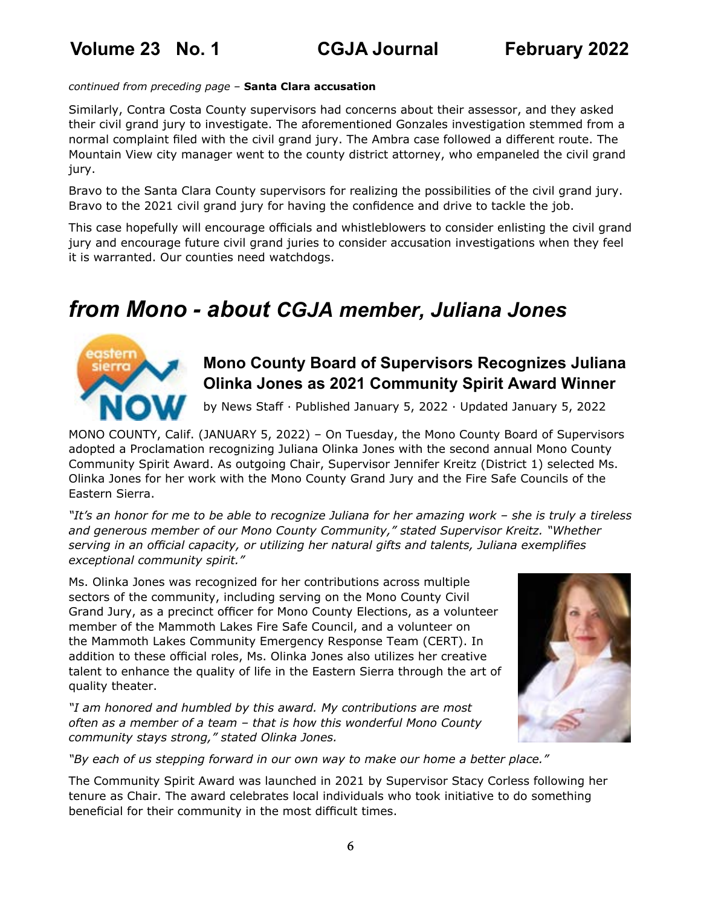#### *continued from preceding page –* **Santa Clara accusation**

Similarly, Contra Costa County supervisors had concerns about their assessor, and they asked their civil grand jury to investigate. The aforementioned Gonzales investigation stemmed from a normal complaint filed with the civil grand jury. The Ambra case followed a different route. The Mountain View city manager went to the county district attorney, who empaneled the civil grand jury.

Bravo to the Santa Clara County supervisors for realizing the possibilities of the civil grand jury. Bravo to the 2021 civil grand jury for having the confidence and drive to tackle the job.

This case hopefully will encourage officials and whistleblowers to consider enlisting the civil grand jury and encourage future civil grand juries to consider accusation investigations when they feel it is warranted. Our counties need watchdogs.

## *from Mono - about CGJA member, Juliana Jones*



### **Mono County Board of Supervisors Recognizes Juliana Olinka Jones as 2021 Community Spirit Award Winner**

by News Staff · Published January 5, 2022 · Updated January 5, 2022

MONO COUNTY, Calif. (JANUARY 5, 2022) – On Tuesday, the Mono County Board of Supervisors adopted a Proclamation recognizing Juliana Olinka Jones with the second annual Mono County Community Spirit Award. As outgoing Chair, Supervisor Jennifer Kreitz (District 1) selected Ms. Olinka Jones for her work with the Mono County Grand Jury and the Fire Safe Councils of the Eastern Sierra.

*"It's an honor for me to be able to recognize Juliana for her amazing work – she is truly a tireless and generous member of our Mono County Community," stated Supervisor Kreitz. "Whether serving in an official capacity, or utilizing her natural gifts and talents, Juliana exemplifies exceptional community spirit."*

Ms. Olinka Jones was recognized for her contributions across multiple sectors of the community, including serving on the Mono County Civil Grand Jury, as a precinct officer for Mono County Elections, as a volunteer member of the Mammoth Lakes Fire Safe Council, and a volunteer on the Mammoth Lakes Community Emergency Response Team (CERT). In addition to these official roles, Ms. Olinka Jones also utilizes her creative talent to enhance the quality of life in the Eastern Sierra through the art of quality theater.

*"I am honored and humbled by this award. My contributions are most often as a member of a team – that is how this wonderful Mono County community stays strong," stated Olinka Jones.*



*"By each of us stepping forward in our own way to make our home a better place."*

The Community Spirit Award was launched in 2021 by Supervisor Stacy Corless following her tenure as Chair. The award celebrates local individuals who took initiative to do something beneficial for their community in the most difficult times.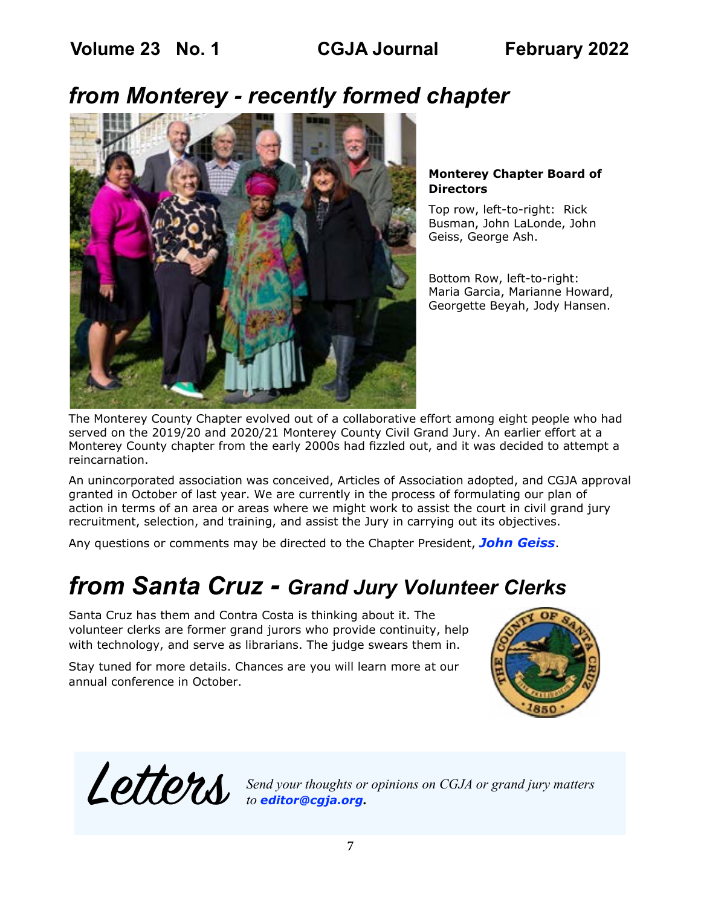## *from Monterey - recently formed chapter*



#### **Monterey Chapter Board of Directors**

Top row, left-to-right: Rick Busman, John LaLonde, John Geiss, George Ash.

Bottom Row, left-to-right: Maria Garcia, Marianne Howard, Georgette Beyah, Jody Hansen.

The Monterey County Chapter evolved out of a collaborative effort among eight people who had served on the 2019/20 and 2020/21 Monterey County Civil Grand Jury. An earlier effort at a Monterey County chapter from the early 2000s had fizzled out, and it was decided to attempt a reincarnation.

An unincorporated association was conceived, Articles of Association adopted, and CGJA approval granted in October of last year. We are currently in the process of formulating our plan of action in terms of an area or areas where we might work to assist the court in civil grand jury recruitment, selection, and training, and assist the Jury in carrying out its objectives.

Any questions or comments may be directed to the Chapter President, *[John Geiss](mailto:johnallengeiss%40gmail.com?subject=CGJA%20Monterey%20Chapter)*.

## *from Santa Cruz - Grand Jury Volunteer Clerks*

Santa Cruz has them and Contra Costa is thinking about it. The volunteer clerks are former grand jurors who provide continuity, help with technology, and serve as librarians. The judge swears them in.

Stay tuned for more details. Chances are you will learn more at our annual conference in October.



Letters *Send your thoughts or opinions on CGJA or grand jury matters to editor@cgja.org***.**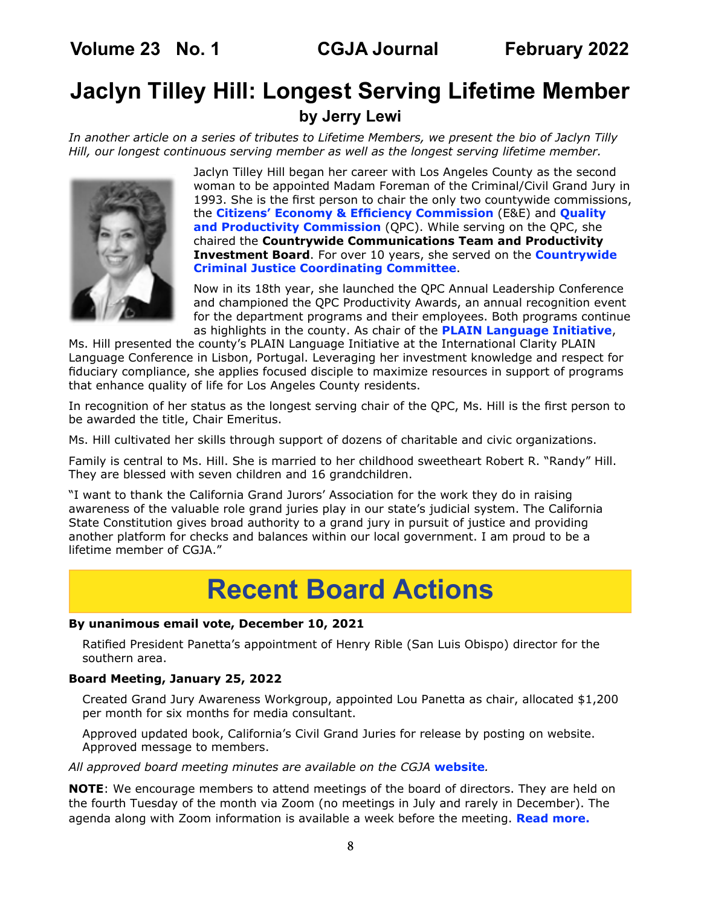<span id="page-7-0"></span>**Volume 23 No. 1 CGJA Journal February 2022**

### **Jaclyn Tilley Hill: Longest Serving Lifetime Member by Jerry Lewi**

*In another article on a series of tributes to Lifetime Members, we present the bio of Jaclyn Tilly Hill, our longest continuous serving member as well as the longest serving lifetime member.*



Jaclyn Tilley Hill began her career with Los Angeles County as the second woman to be appointed Madam Foreman of the Criminal/Civil Grand Jury in 1993. She is the first person to chair the only two countywide commissions, the **[Citizens' Economy & Efficiency Commission](http://eec.lacounty.gov/)** (E&E) and **[Quality](http://qpc.lacounty.gov/Commission-Committees/Productivity-Investment-Board)  [and Productivity Commission](http://qpc.lacounty.gov/Commission-Committees/Productivity-Investment-Board)** (QPC). While serving on the QPC, she chaired the **Countrywide Communications Team and Productivity Investment Board**. For over 10 years, she served on the **[Countrywide](http://ccjcc.lacounty.gov/)  [Criminal Justice Coordinating Committee](http://ccjcc.lacounty.gov/)**.

Now in its 18th year, she launched the QPC Annual Leadership Conference and championed the QPC Productivity Awards, an annual recognition event for the department programs and their employees. Both programs continue as highlights in the county. As chair of the **[PLAIN Language Initiative](https://www.plainlanguage.gov/)**,

Ms. Hill presented the county's PLAIN Language Initiative at the International Clarity PLAIN Language Conference in Lisbon, Portugal. Leveraging her investment knowledge and respect for fiduciary compliance, she applies focused disciple to maximize resources in support of programs that enhance quality of life for Los Angeles County residents.

In recognition of her status as the longest serving chair of the QPC, Ms. Hill is the first person to be awarded the title, Chair Emeritus.

Ms. Hill cultivated her skills through support of dozens of charitable and civic organizations.

Family is central to Ms. Hill. She is married to her childhood sweetheart Robert R. "Randy" Hill. They are blessed with seven children and 16 grandchildren.

"I want to thank the California Grand Jurors' Association for the work they do in raising awareness of the valuable role grand juries play in our state's judicial system. The California State Constitution gives broad authority to a grand jury in pursuit of justice and providing another platform for checks and balances within our local government. I am proud to be a lifetime member of CGJA."

# **Recent Board Actions**

#### **By unanimous email vote, December 10, 2021**

Ratified President Panetta's appointment of Henry Rible (San Luis Obispo) director for the southern area.

#### **Board Meeting, January 25, 2022**

Created Grand Jury Awareness Workgroup, appointed Lou Panetta as chair, allocated \$1,200 per month for six months for media consultant.

Approved updated book, California's Civil Grand Juries for release by posting on website. Approved message to members.

*All approved board meeting minutes are available on the CGJA* **[website](https://cgja.org/board-minutes)***.*

**NOTE**: We encourage members to attend meetings of the board of directors. They are held on the fourth Tuesday of the month via Zoom (no meetings in July and rarely in December). The agenda along with Zoom information is available a week before the meeting. **[Read more.](https://cgja.org/current-agenda)**